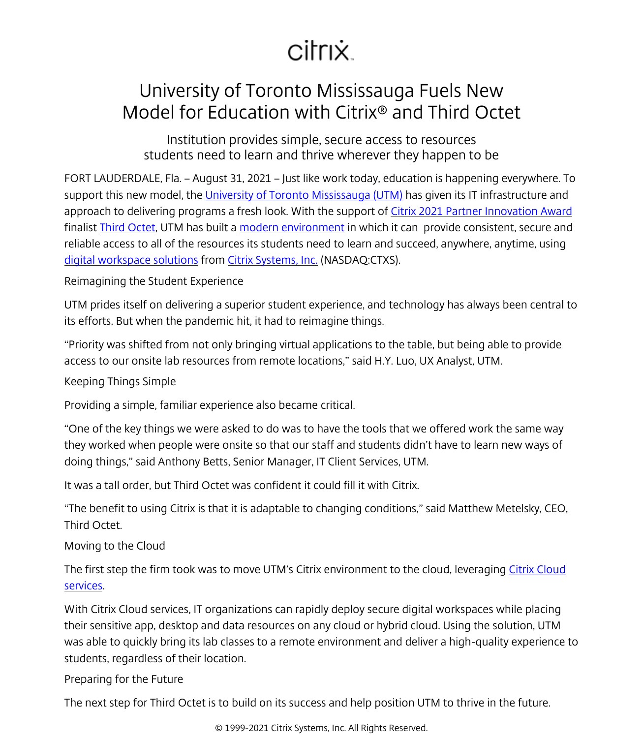## citrix.

## University of Toronto Mississauga Fuels New Model for Education with Citrix® and Third Octet

Institution provides simple, secure access to resources students need to learn and thrive wherever they happen to be

FORT LAUDERDALE, Fla. – August 31, 2021 – Just like work today, education is happening everywhere. To support this new model, the [University of Toronto Mississauga \(UTM\)](https://www.utm.utoronto.ca/) has given its IT infrastructure and approach to delivering programs a fresh look. With the support of [Citrix 2021 Partner Innovation Award](/content/citrix/en-id/go/innovation/partner-innovation.html) finalist [Third Octet](https://thirdoctet.com/), UTM has built a [modern environment](https://vimeo.com/bellwether/review/554846582/47967cb284) in which it can provide consistent, secure and reliable access to all of the resources its students need to learn and succeed, anywhere, anytime, using [digital workspace solutions](/content/citrix/en-id/solutions/digital-workspace.html) from [Citrix Systems, Inc.](/content/citrix/en-id/
            .html) (NASDAQ:CTXS).

Reimagining the Student Experience

UTM prides itself on delivering a superior student experience, and technology has always been central to its efforts. But when the pandemic hit, it had to reimagine things.

"Priority was shifted from not only bringing virtual applications to the table, but being able to provide access to our onsite lab resources from remote locations," said H.Y. Luo, UX Analyst, UTM.

Keeping Things Simple

Providing a simple, familiar experience also became critical.

"One of the key things we were asked to do was to have the tools that we offered work the same way they worked when people were onsite so that our staff and students didn't have to learn new ways of doing things," said Anthony Betts, Senior Manager, IT Client Services, UTM.

It was a tall order, but Third Octet was confident it could fill it with Citrix.

"The benefit to using Citrix is that it is adaptable to changing conditions," said Matthew Metelsky, CEO, Third Octet.

Moving to the Cloud

The first step the firm took was to move UTM's Citrix environment to the cloud, leveraging [Citrix Cloud](/content/citrix/en-id/products/citrix-cloud.html) [services](/content/citrix/en-id/products/citrix-cloud.html).

With Citrix Cloud services, IT organizations can rapidly deploy secure digital workspaces while placing their sensitive app, desktop and data resources on any cloud or hybrid cloud. Using the solution, UTM was able to quickly bring its lab classes to a remote environment and deliver a high-quality experience to students, regardless of their location.

Preparing for the Future

The next step for Third Octet is to build on its success and help position UTM to thrive in the future.

© 1999-2021 Citrix Systems, Inc. All Rights Reserved.